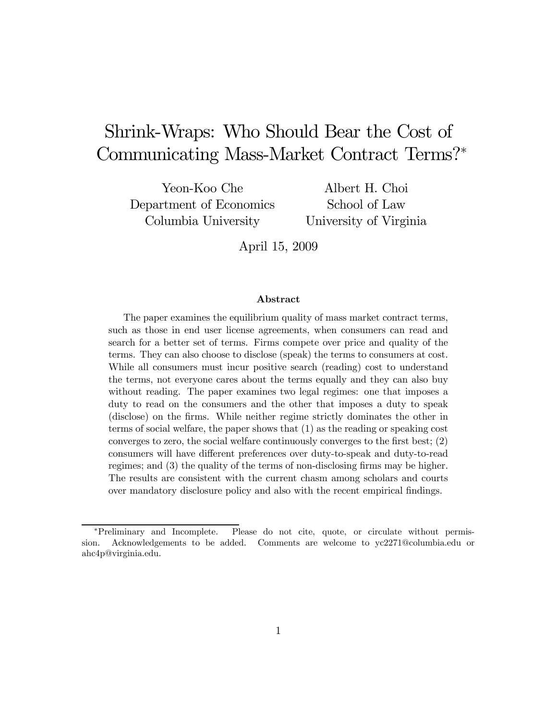# Shrink-Wraps: Who Should Bear the Cost of Communicating Mass-Market Contract Terms?<sup>∗</sup>

Yeon-Koo Che Department of Economics Columbia University

Albert H. Choi School of Law University of Virginia

April 15, 2009

#### Abstract

The paper examines the equilibrium quality of mass market contract terms, such as those in end user license agreements, when consumers can read and search for a better set of terms. Firms compete over price and quality of the terms. They can also choose to disclose (speak) the terms to consumers at cost. While all consumers must incur positive search (reading) cost to understand the terms, not everyone cares about the terms equally and they can also buy without reading. The paper examines two legal regimes: one that imposes a duty to read on the consumers and the other that imposes a duty to speak (disclose) on the firms. While neither regime strictly dominates the other in terms of social welfare, the paper shows that (1) as the reading or speaking cost converges to zero, the social welfare continuously converges to the first best; (2) consumers will have different preferences over duty-to-speak and duty-to-read regimes; and (3) the quality of the terms of non-disclosing firms may be higher. The results are consistent with the current chasm among scholars and courts over mandatory disclosure policy and also with the recent empirical findings.

<sup>∗</sup>Preliminary and Incomplete. Please do not cite, quote, or circulate without permission. Acknowledgements to be added. Comments are welcome to yc2271@columbia.edu or ahc4p@virginia.edu.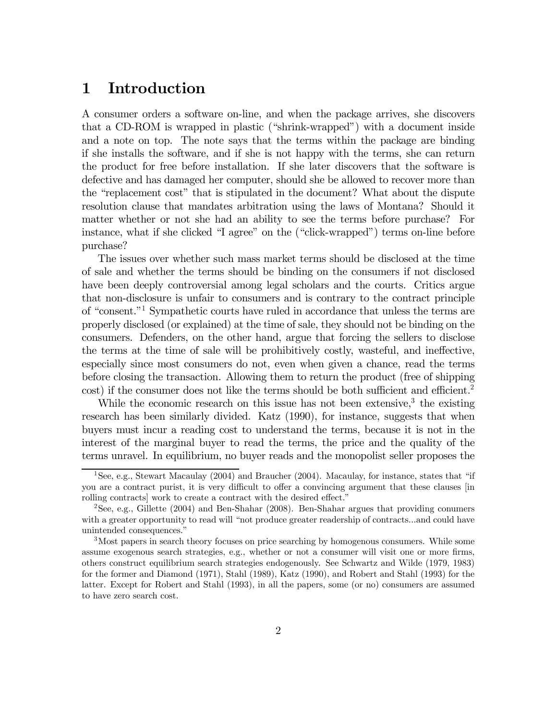### 1 Introduction

A consumer orders a software on-line, and when the package arrives, she discovers that a CD-ROM is wrapped in plastic ("shrink-wrapped") with a document inside and a note on top. The note says that the terms within the package are binding if she installs the software, and if she is not happy with the terms, she can return the product for free before installation. If she later discovers that the software is defective and has damaged her computer, should she be allowed to recover more than the "replacement cost" that is stipulated in the document? What about the dispute resolution clause that mandates arbitration using the laws of Montana? Should it matter whether or not she had an ability to see the terms before purchase? For instance, what if she clicked "I agree" on the ("click-wrapped") terms on-line before purchase?

The issues over whether such mass market terms should be disclosed at the time of sale and whether the terms should be binding on the consumers if not disclosed have been deeply controversial among legal scholars and the courts. Critics argue that non-disclosure is unfair to consumers and is contrary to the contract principle of "consent."1 Sympathetic courts have ruled in accordance that unless the terms are properly disclosed (or explained) at the time of sale, they should not be binding on the consumers. Defenders, on the other hand, argue that forcing the sellers to disclose the terms at the time of sale will be prohibitively costly, wasteful, and ineffective, especially since most consumers do not, even when given a chance, read the terms before closing the transaction. Allowing them to return the product (free of shipping cost) if the consumer does not like the terms should be both sufficient and efficient.<sup>2</sup>

While the economic research on this issue has not been extensive,<sup>3</sup> the existing research has been similarly divided. Katz (1990), for instance, suggests that when buyers must incur a reading cost to understand the terms, because it is not in the interest of the marginal buyer to read the terms, the price and the quality of the terms unravel. In equilibrium, no buyer reads and the monopolist seller proposes the

<sup>1</sup>See, e.g., Stewart Macaulay (2004) and Braucher (2004). Macaulay, for instance, states that "if you are a contract purist, it is very difficult to offer a convincing argument that these clauses [in rolling contracts] work to create a contract with the desired effect."

<sup>2</sup>See, e.g., Gillette (2004) and Ben-Shahar (2008). Ben-Shahar argues that providing conumers with a greater opportunity to read will "not produce greater readership of contracts...and could have unintended consequences."

<sup>3</sup>Most papers in search theory focuses on price searching by homogenous consumers. While some assume exogenous search strategies, e.g., whether or not a consumer will visit one or more firms, others construct equilibrium search strategies endogenously. See Schwartz and Wilde (1979, 1983) for the former and Diamond (1971), Stahl (1989), Katz (1990), and Robert and Stahl (1993) for the latter. Except for Robert and Stahl (1993), in all the papers, some (or no) consumers are assumed to have zero search cost.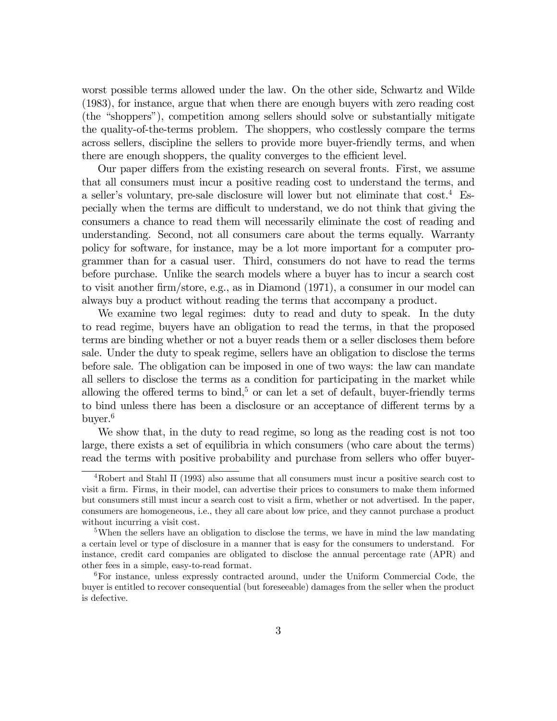worst possible terms allowed under the law. On the other side, Schwartz and Wilde (1983), for instance, argue that when there are enough buyers with zero reading cost (the "shoppers"), competition among sellers should solve or substantially mitigate the quality-of-the-terms problem. The shoppers, who costlessly compare the terms across sellers, discipline the sellers to provide more buyer-friendly terms, and when there are enough shoppers, the quality converges to the efficient level.

Our paper differs from the existing research on several fronts. First, we assume that all consumers must incur a positive reading cost to understand the terms, and a seller's voluntary, pre-sale disclosure will lower but not eliminate that cost.4 Especially when the terms are difficult to understand, we do not think that giving the consumers a chance to read them will necessarily eliminate the cost of reading and understanding. Second, not all consumers care about the terms equally. Warranty policy for software, for instance, may be a lot more important for a computer programmer than for a casual user. Third, consumers do not have to read the terms before purchase. Unlike the search models where a buyer has to incur a search cost to visit another firm/store, e.g., as in Diamond (1971), a consumer in our model can always buy a product without reading the terms that accompany a product.

We examine two legal regimes: duty to read and duty to speak. In the duty to read regime, buyers have an obligation to read the terms, in that the proposed terms are binding whether or not a buyer reads them or a seller discloses them before sale. Under the duty to speak regime, sellers have an obligation to disclose the terms before sale. The obligation can be imposed in one of two ways: the law can mandate all sellers to disclose the terms as a condition for participating in the market while allowing the offered terms to bind,<sup>5</sup> or can let a set of default, buyer-friendly terms to bind unless there has been a disclosure or an acceptance of different terms by a buyer.6

We show that, in the duty to read regime, so long as the reading cost is not too large, there exists a set of equilibria in which consumers (who care about the terms) read the terms with positive probability and purchase from sellers who offer buyer-

<sup>4</sup>Robert and Stahl II (1993) also assume that all consumers must incur a positive search cost to visit a firm. Firms, in their model, can advertise their prices to consumers to make them informed but consumers still must incur a search cost to visit a firm, whether or not advertised. In the paper, consumers are homogeneous, i.e., they all care about low price, and they cannot purchase a product without incurring a visit cost.

<sup>&</sup>lt;sup>5</sup>When the sellers have an obligation to disclose the terms, we have in mind the law mandating a certain level or type of disclosure in a manner that is easy for the consumers to understand. For instance, credit card companies are obligated to disclose the annual percentage rate (APR) and other fees in a simple, easy-to-read format.

<sup>6</sup>For instance, unless expressly contracted around, under the Uniform Commercial Code, the buyer is entitled to recover consequential (but foreseeable) damages from the seller when the product is defective.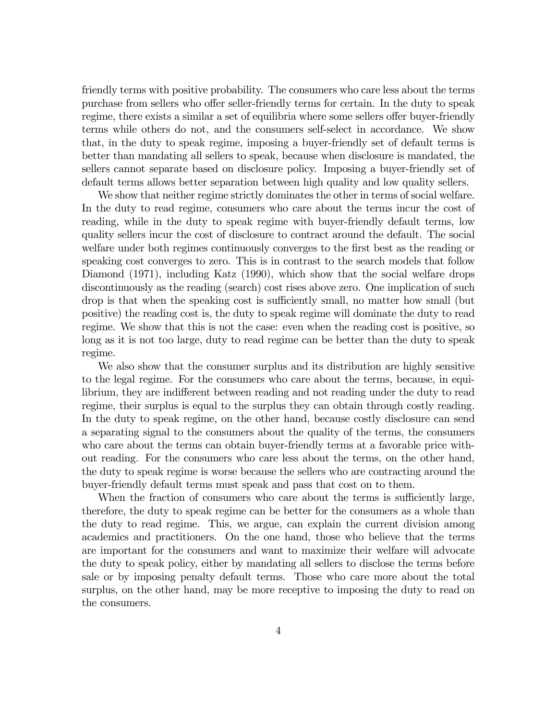friendly terms with positive probability. The consumers who care less about the terms purchase from sellers who offer seller-friendly terms for certain. In the duty to speak regime, there exists a similar a set of equilibria where some sellers offer buyer-friendly terms while others do not, and the consumers self-select in accordance. We show that, in the duty to speak regime, imposing a buyer-friendly set of default terms is better than mandating all sellers to speak, because when disclosure is mandated, the sellers cannot separate based on disclosure policy. Imposing a buyer-friendly set of default terms allows better separation between high quality and low quality sellers.

We show that neither regime strictly dominates the other in terms of social welfare. In the duty to read regime, consumers who care about the terms incur the cost of reading, while in the duty to speak regime with buyer-friendly default terms, low quality sellers incur the cost of disclosure to contract around the default. The social welfare under both regimes continuously converges to the first best as the reading or speaking cost converges to zero. This is in contrast to the search models that follow Diamond (1971), including Katz (1990), which show that the social welfare drops discontinuously as the reading (search) cost rises above zero. One implication of such drop is that when the speaking cost is sufficiently small, no matter how small (but positive) the reading cost is, the duty to speak regime will dominate the duty to read regime. We show that this is not the case: even when the reading cost is positive, so long as it is not too large, duty to read regime can be better than the duty to speak regime.

We also show that the consumer surplus and its distribution are highly sensitive to the legal regime. For the consumers who care about the terms, because, in equilibrium, they are indifferent between reading and not reading under the duty to read regime, their surplus is equal to the surplus they can obtain through costly reading. In the duty to speak regime, on the other hand, because costly disclosure can send a separating signal to the consumers about the quality of the terms, the consumers who care about the terms can obtain buyer-friendly terms at a favorable price without reading. For the consumers who care less about the terms, on the other hand, the duty to speak regime is worse because the sellers who are contracting around the buyer-friendly default terms must speak and pass that cost on to them.

When the fraction of consumers who care about the terms is sufficiently large, therefore, the duty to speak regime can be better for the consumers as a whole than the duty to read regime. This, we argue, can explain the current division among academics and practitioners. On the one hand, those who believe that the terms are important for the consumers and want to maximize their welfare will advocate the duty to speak policy, either by mandating all sellers to disclose the terms before sale or by imposing penalty default terms. Those who care more about the total surplus, on the other hand, may be more receptive to imposing the duty to read on the consumers.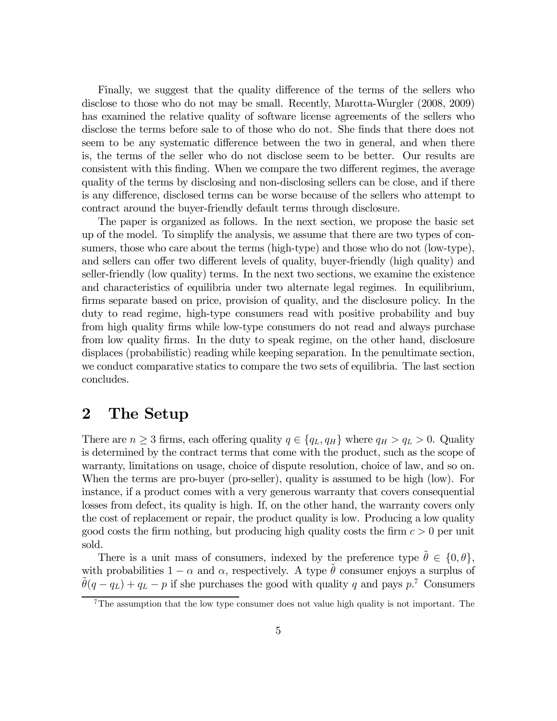Finally, we suggest that the quality difference of the terms of the sellers who disclose to those who do not may be small. Recently, Marotta-Wurgler (2008, 2009) has examined the relative quality of software license agreements of the sellers who disclose the terms before sale to of those who do not. She finds that there does not seem to be any systematic difference between the two in general, and when there is, the terms of the seller who do not disclose seem to be better. Our results are consistent with this finding. When we compare the two different regimes, the average quality of the terms by disclosing and non-disclosing sellers can be close, and if there is any difference, disclosed terms can be worse because of the sellers who attempt to contract around the buyer-friendly default terms through disclosure.

The paper is organized as follows. In the next section, we propose the basic set up of the model. To simplify the analysis, we assume that there are two types of consumers, those who care about the terms (high-type) and those who do not (low-type), and sellers can offer two different levels of quality, buyer-friendly (high quality) and seller-friendly (low quality) terms. In the next two sections, we examine the existence and characteristics of equilibria under two alternate legal regimes. In equilibrium, firms separate based on price, provision of quality, and the disclosure policy. In the duty to read regime, high-type consumers read with positive probability and buy from high quality firms while low-type consumers do not read and always purchase from low quality firms. In the duty to speak regime, on the other hand, disclosure displaces (probabilistic) reading while keeping separation. In the penultimate section, we conduct comparative statics to compare the two sets of equilibria. The last section concludes.

#### 2 The Setup

There are  $n \geq 3$  firms, each offering quality  $q \in \{q_L, q_H\}$  where  $q_H > q_L > 0$ . Quality is determined by the contract terms that come with the product, such as the scope of warranty, limitations on usage, choice of dispute resolution, choice of law, and so on. When the terms are pro-buyer (pro-seller), quality is assumed to be high (low). For instance, if a product comes with a very generous warranty that covers consequential losses from defect, its quality is high. If, on the other hand, the warranty covers only the cost of replacement or repair, the product quality is low. Producing a low quality good costs the firm nothing, but producing high quality costs the firm  $c > 0$  per unit sold.

There is a unit mass of consumers, indexed by the preference type  $\theta \in \{0, \theta\}$ , with probabilities  $1 - \alpha$  and  $\alpha$ , respectively. A type  $\tilde{\theta}$  consumer enjoys a surplus of with probabilities  $1 - \alpha$  and  $\alpha$ , respectively. A type  $\tilde{\theta}$  consumer enjoys a surplus of  $\tilde{\theta}(q - q_L) + q_L - p$  if she purchases the good with quality q and pays  $p$ .<sup>7</sup> Consumers

 $7$ The assumption that the low type consumer does not value high quality is not important. The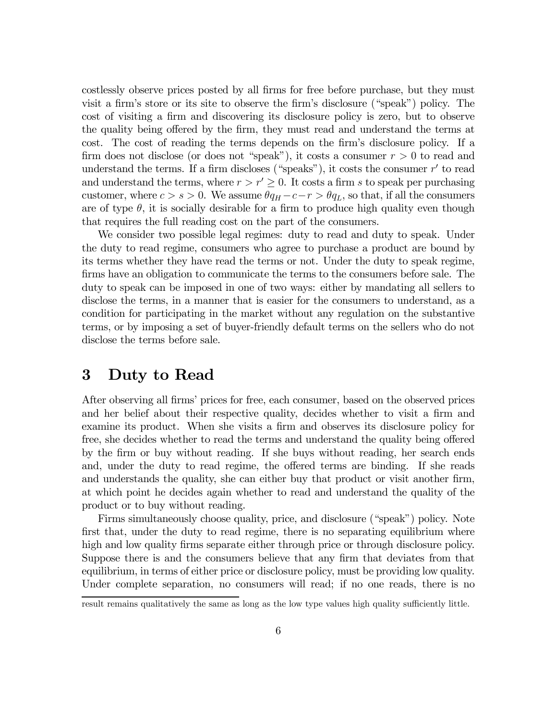costlessly observe prices posted by all firms for free before purchase, but they must visit a firm's store or its site to observe the firm's disclosure ("speak") policy. The cost of visiting a firm and discovering its disclosure policy is zero, but to observe the quality being offered by the firm, they must read and understand the terms at cost. The cost of reading the terms depends on the firm's disclosure policy. If a firm does not disclose (or does not "speak"), it costs a consumer  $r > 0$  to read and understand the terms. If a firm discloses ("speaks"), it costs the consumer  $r'$  to read and understand the terms, where  $r>r'\geq0$ . It costs a firm s to speak per purchasing customer, where  $c > s > 0$ . We assume  $\theta q_H - c - r > \theta q_L$ , so that, if all the consumers are of type  $\theta$ , it is socially desirable for a firm to produce high quality even though that requires the full reading cost on the part of the consumers.

We consider two possible legal regimes: duty to read and duty to speak. Under the duty to read regime, consumers who agree to purchase a product are bound by its terms whether they have read the terms or not. Under the duty to speak regime, firms have an obligation to communicate the terms to the consumers before sale. The duty to speak can be imposed in one of two ways: either by mandating all sellers to disclose the terms, in a manner that is easier for the consumers to understand, as a condition for participating in the market without any regulation on the substantive terms, or by imposing a set of buyer-friendly default terms on the sellers who do not disclose the terms before sale.

#### 3 Duty to Read

After observing all firms' prices for free, each consumer, based on the observed prices and her belief about their respective quality, decides whether to visit a firm and examine its product. When she visits a firm and observes its disclosure policy for free, she decides whether to read the terms and understand the quality being offered by the firm or buy without reading. If she buys without reading, her search ends and, under the duty to read regime, the offered terms are binding. If she reads and understands the quality, she can either buy that product or visit another firm, at which point he decides again whether to read and understand the quality of the product or to buy without reading.

Firms simultaneously choose quality, price, and disclosure ("speak") policy. Note first that, under the duty to read regime, there is no separating equilibrium where high and low quality firms separate either through price or through disclosure policy. Suppose there is and the consumers believe that any firm that deviates from that equilibrium, in terms of either price or disclosure policy, must be providing low quality. Under complete separation, no consumers will read; if no one reads, there is no

result remains qualitatively the same as long as the low type values high quality sufficiently little.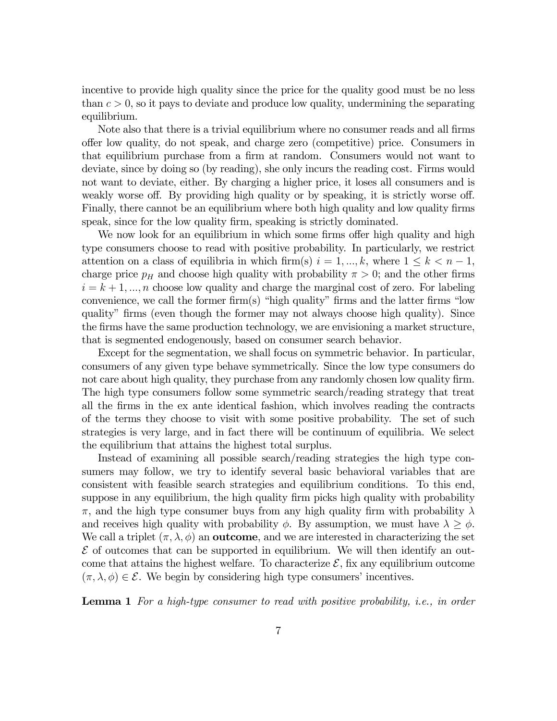incentive to provide high quality since the price for the quality good must be no less than  $c > 0$ , so it pays to deviate and produce low quality, undermining the separating equilibrium.

Note also that there is a trivial equilibrium where no consumer reads and all firms offer low quality, do not speak, and charge zero (competitive) price. Consumers in that equilibrium purchase from a firm at random. Consumers would not want to deviate, since by doing so (by reading), she only incurs the reading cost. Firms would not want to deviate, either. By charging a higher price, it loses all consumers and is weakly worse off. By providing high quality or by speaking, it is strictly worse off. Finally, there cannot be an equilibrium where both high quality and low quality firms speak, since for the low quality firm, speaking is strictly dominated.

We now look for an equilibrium in which some firms offer high quality and high type consumers choose to read with positive probability. In particularly, we restrict attention on a class of equilibria in which firm(s)  $i = 1, ..., k$ , where  $1 \leq k < n - 1$ , charge price  $p<sub>H</sub>$  and choose high quality with probability  $\pi > 0$ ; and the other firms  $i = k + 1, \dots, n$  choose low quality and charge the marginal cost of zero. For labeling convenience, we call the former firm(s) "high quality" firms and the latter firms "low quality" firms (even though the former may not always choose high quality). Since the firms have the same production technology, we are envisioning a market structure, that is segmented endogenously, based on consumer search behavior.

Except for the segmentation, we shall focus on symmetric behavior. In particular, consumers of any given type behave symmetrically. Since the low type consumers do not care about high quality, they purchase from any randomly chosen low quality firm. The high type consumers follow some symmetric search/reading strategy that treat all the firms in the ex ante identical fashion, which involves reading the contracts of the terms they choose to visit with some positive probability. The set of such strategies is very large, and in fact there will be continuum of equilibria. We select the equilibrium that attains the highest total surplus.

Instead of examining all possible search/reading strategies the high type consumers may follow, we try to identify several basic behavioral variables that are consistent with feasible search strategies and equilibrium conditions. To this end, suppose in any equilibrium, the high quality firm picks high quality with probability  $\pi$ , and the high type consumer buys from any high quality firm with probability  $\lambda$ and receives high quality with probability  $\phi$ . By assumption, we must have  $\lambda \geq \phi$ . We call a triplet  $(\pi, \lambda, \phi)$  an **outcome**, and we are interested in characterizing the set  $\mathcal E$  of outcomes that can be supported in equilibrium. We will then identify an outcome that attains the highest welfare. To characterize  $\mathcal{E}$ , fix any equilibrium outcome  $(\pi, \lambda, \phi) \in \mathcal{E}$ . We begin by considering high type consumers' incentives.

**Lemma 1** For a high-type consumer to read with positive probability, i.e., in order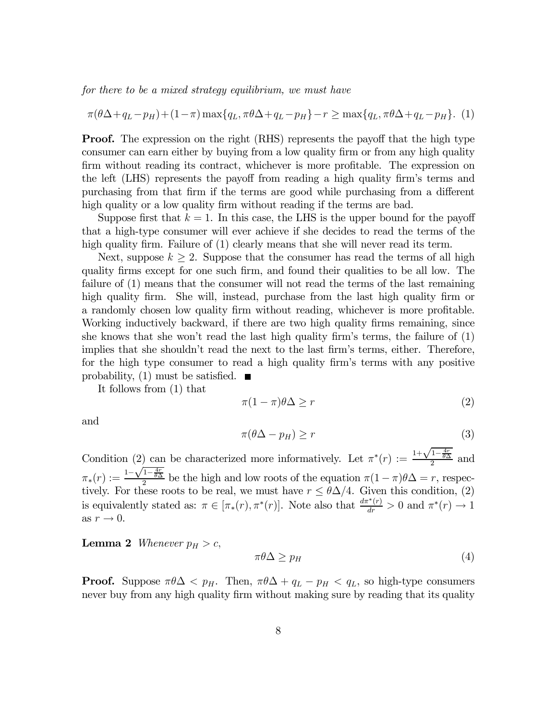for there to be a mixed strategy equilibrium, we must have

$$
\pi(\theta \Delta + q_L - p_H) + (1 - \pi) \max\{q_L, \pi \theta \Delta + q_L - p_H\} - r \ge \max\{q_L, \pi \theta \Delta + q_L - p_H\}.
$$
 (1)

**Proof.** The expression on the right (RHS) represents the payoff that the high type consumer can earn either by buying from a low quality firm or from any high quality firm without reading its contract, whichever is more profitable. The expression on the left (LHS) represents the payoff from reading a high quality firm's terms and purchasing from that firm if the terms are good while purchasing from a different high quality or a low quality firm without reading if the terms are bad.

Suppose first that  $k = 1$ . In this case, the LHS is the upper bound for the payoff that a high-type consumer will ever achieve if she decides to read the terms of the high quality firm. Failure of (1) clearly means that she will never read its term.

Next, suppose  $k \geq 2$ . Suppose that the consumer has read the terms of all high quality firms except for one such firm, and found their qualities to be all low. The failure of (1) means that the consumer will not read the terms of the last remaining high quality firm. She will, instead, purchase from the last high quality firm or a randomly chosen low quality firm without reading, whichever is more profitable. Working inductively backward, if there are two high quality firms remaining, since she knows that she won't read the last high quality firm's terms, the failure of (1) implies that she shouldn't read the next to the last firm's terms, either. Therefore, for the high type consumer to read a high quality firm's terms with any positive probability, (1) must be satisfied.  $\blacksquare$ 

It follows from (1) that

$$
\pi(1-\pi)\theta\Delta \ge r \tag{2}
$$

and

$$
\pi(\theta \Delta - p_H) \ge r \tag{3}
$$

Condition (2) can be characterized more informatively. Let  $\pi^*(r) := \frac{1+\sqrt{1-\frac{4r}{\theta\Delta}}}{2}$  and  $\pi_*(r) := \frac{1-\sqrt{1-\frac{4r}{\theta\Delta}}}{2}$  be the high and low roots of the equation  $\pi(1-\pi)\theta\Delta = r$ , respectively. For these roots to be real, we must have  $r \leq \theta \Delta/4$ . Given this condition, (2) is equivalently stated as:  $\pi \in [\pi_*(r), \pi^*(r)]$ . Note also that  $\frac{d\pi^*(r)}{dr} > 0$  and  $\pi^*(r) \to 1$ as  $r \to 0$ .

**Lemma 2** Whenever  $p_H > c$ ,

$$
\pi \theta \Delta \ge p_H \tag{4}
$$

**Proof.** Suppose  $\pi\theta\Delta < p_H$ . Then,  $\pi\theta\Delta + q_L - p_H < q_L$ , so high-type consumers never buy from any high quality firm without making sure by reading that its quality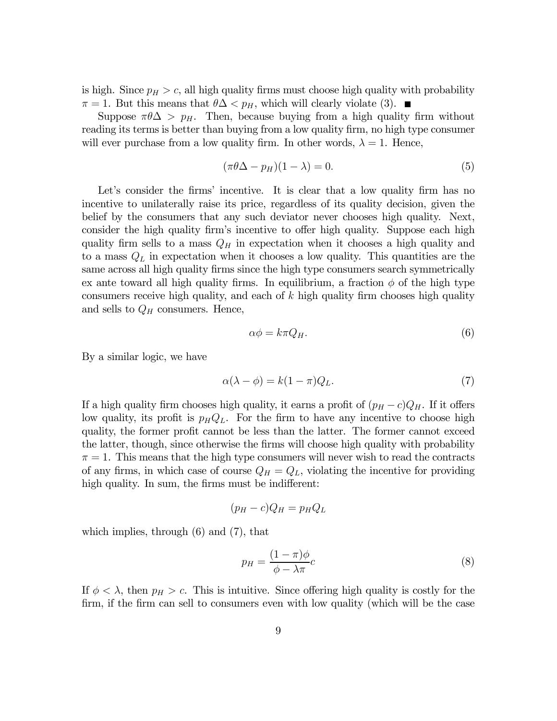is high. Since  $p_H > c$ , all high quality firms must choose high quality with probability  $\pi = 1$ . But this means that  $\theta \Delta < p_H$ , which will clearly violate (3).

Suppose  $\pi\theta\Delta > p_H$ . Then, because buying from a high quality firm without reading its terms is better than buying from a low quality firm, no high type consumer will ever purchase from a low quality firm. In other words,  $\lambda = 1$ . Hence,

$$
(\pi \theta \Delta - p_H)(1 - \lambda) = 0. \tag{5}
$$

Let's consider the firms' incentive. It is clear that a low quality firm has no incentive to unilaterally raise its price, regardless of its quality decision, given the belief by the consumers that any such deviator never chooses high quality. Next, consider the high quality firm's incentive to offer high quality. Suppose each high quality firm sells to a mass  $Q_H$  in expectation when it chooses a high quality and to a mass  $Q_L$  in expectation when it chooses a low quality. This quantities are the same across all high quality firms since the high type consumers search symmetrically ex ante toward all high quality firms. In equilibrium, a fraction  $\phi$  of the high type consumers receive high quality, and each of  $k$  high quality firm chooses high quality and sells to  $Q_H$  consumers. Hence,

$$
\alpha \phi = k \pi Q_H. \tag{6}
$$

By a similar logic, we have

$$
\alpha(\lambda - \phi) = k(1 - \pi)Q_L. \tag{7}
$$

If a high quality firm chooses high quality, it earns a profit of  $(p_H - c)Q_H$ . If it offers low quality, its profit is  $p_H Q_L$ . For the firm to have any incentive to choose high quality, the former profit cannot be less than the latter. The former cannot exceed the latter, though, since otherwise the firms will choose high quality with probability  $\pi = 1$ . This means that the high type consumers will never wish to read the contracts of any firms, in which case of course  $Q_H = Q_L$ , violating the incentive for providing high quality. In sum, the firms must be indifferent:

$$
(p_H - c)Q_H = p_H Q_L
$$

which implies, through  $(6)$  and  $(7)$ , that

$$
p_H = \frac{(1 - \pi)\phi}{\phi - \lambda \pi}c\tag{8}
$$

If  $\phi < \lambda$ , then  $p_H > c$ . This is intuitive. Since offering high quality is costly for the firm, if the firm can sell to consumers even with low quality (which will be the case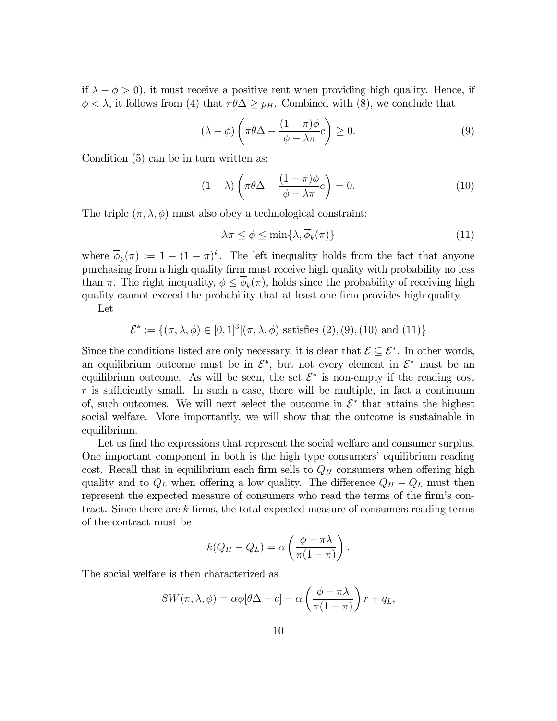if  $\lambda - \phi > 0$ , it must receive a positive rent when providing high quality. Hence, if  $\phi < \lambda$ , it follows from (4) that  $\pi \theta \Delta \geq p_H$ . Combined with (8), we conclude that

$$
(\lambda - \phi) \left( \pi \theta \Delta - \frac{(1 - \pi)\phi}{\phi - \lambda \pi} c \right) \ge 0.
$$
 (9)

Condition (5) can be in turn written as:

$$
(1 - \lambda) \left( \pi \theta \Delta - \frac{(1 - \pi)\phi}{\phi - \lambda \pi} c \right) = 0.
$$
 (10)

The triple  $(\pi, \lambda, \phi)$  must also obey a technological constraint:

$$
\lambda \pi \le \phi \le \min\{\lambda, \overline{\phi}_k(\pi)\}\tag{11}
$$

where  $\overline{\phi}_k(\pi) := 1 - (1 - \pi)^k$ . The left inequality holds from the fact that anyone purchasing from a high quality firm must receive high quality with probability no less than  $\pi$ . The right inequality,  $\phi \leq \phi_k(\pi)$ , holds since the probability of receiving high quality cannot exceed the probability that at least one firm provides high quality.

Let

 $\mathcal{E}^* := \{(\pi, \lambda, \phi) \in [0, 1]^3 | (\pi, \lambda, \phi) \text{ satisfies } (2), (9), (10) \text{ and } (11)\}\$ 

Since the conditions listed are only necessary, it is clear that  $\mathcal{E} \subseteq \mathcal{E}^*$ . In other words, an equilibrium outcome must be in  $\mathcal{E}^*$ , but not every element in  $\mathcal{E}^*$  must be an equilibrium outcome. As will be seen, the set  $\mathcal{E}^*$  is non-empty if the reading cost  $r$  is sufficiently small. In such a case, there will be multiple, in fact a continuum of, such outcomes. We will next select the outcome in  $\mathcal{E}^*$  that attains the highest social welfare. More importantly, we will show that the outcome is sustainable in equilibrium.

Let us find the expressions that represent the social welfare and consumer surplus. One important component in both is the high type consumers' equilibrium reading cost. Recall that in equilibrium each firm sells to  $Q_H$  consumers when offering high quality and to  $Q_L$  when offering a low quality. The difference  $Q_H - Q_L$  must then represent the expected measure of consumers who read the terms of the firm's contract. Since there are k firms, the total expected measure of consumers reading terms of the contract must be

$$
k(Q_H - Q_L) = \alpha \left( \frac{\phi - \pi \lambda}{\pi (1 - \pi)} \right).
$$

The social welfare is then characterized as

$$
SW(\pi, \lambda, \phi) = \alpha \phi[\theta \Delta - c] - \alpha \left(\frac{\phi - \pi \lambda}{\pi(1 - \pi)}\right) r + q_L,
$$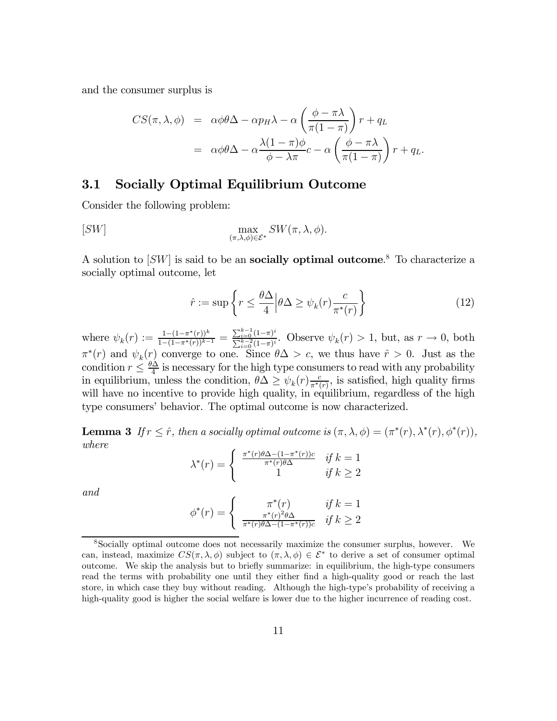and the consumer surplus is

$$
CS(\pi, \lambda, \phi) = \alpha \phi \theta \Delta - \alpha p_H \lambda - \alpha \left( \frac{\phi - \pi \lambda}{\pi (1 - \pi)} \right) r + q_L
$$
  
=  $\alpha \phi \theta \Delta - \alpha \frac{\lambda (1 - \pi) \phi}{\phi - \lambda \pi} c - \alpha \left( \frac{\phi - \pi \lambda}{\pi (1 - \pi)} \right) r + q_L.$ 

#### 3.1 Socially Optimal Equilibrium Outcome

Consider the following problem:

$$
[SW] \qquad \qquad \max_{(\pi,\lambda,\phi)\in\mathcal{E}^*} SW(\pi,\lambda,\phi).
$$

A solution to  $|SW|$  is said to be an **socially optimal outcome**.<sup>8</sup> To characterize a socially optimal outcome, let

$$
\hat{r} := \sup \left\{ r \le \frac{\theta \Delta}{4} \Big| \theta \Delta \ge \psi_k(r) \frac{c}{\pi^*(r)} \right\} \tag{12}
$$

where  $\psi_k(r) := \frac{1 - (1 - \pi^*(r))^k}{1 - (1 - \pi^*(r))^{k-1}} = \frac{\sum_{i=0}^{k-1} (1 - \pi)^i}{\sum_{i=0}^{k-2} (1 - \pi)^i}$ . Observe  $\psi_k(r) > 1$ , but, as  $r \to 0$ , both  $\pi^*(r)$  and  $\psi_k(r)$  converge to one. Since  $\theta \Delta > c$ , we thus have  $\hat{r} > 0$ . Just as the condition  $r \leq \frac{\theta \Delta}{4}$  is necessary for the high type consumers to read with any probability in equilibrium, unless the condition,  $\theta \Delta \geq \psi_k(r) \frac{c}{\pi^*(r)}$ , is satisfied, high quality firms will have no incentive to provide high quality, in equilibrium, regardless of the high type consumers' behavior. The optimal outcome is now characterized.

**Lemma 3** If  $r \leq \hat{r}$ , then a socially optimal outcome is  $(\pi, \lambda, \phi) = (\pi^*(r), \lambda^*(r), \phi^*(r)),$ where

$$
\lambda^*(r) = \begin{cases} \frac{\pi^*(r)\theta \Delta - (1 - \pi^*(r))c}{\pi^*(r)\theta \Delta} & \text{if } k = 1\\ 1 & \text{if } k \ge 2 \end{cases}
$$

and

$$
\phi^*(r) = \begin{cases} \pi^*(r) & \text{if } k = 1\\ \frac{\pi^*(r)^2 \theta \Delta}{\pi^*(r) \theta \Delta - (1 - \pi^*(r))c} & \text{if } k \ge 2 \end{cases}
$$

<sup>8</sup>Socially optimal outcome does not necessarily maximize the consumer surplus, however. We can, instead, maximize  $CS(\pi, \lambda, \phi)$  subject to  $(\pi, \lambda, \phi) \in \mathcal{E}^*$  to derive a set of consumer optimal outcome. We skip the analysis but to briefly summarize: in equilibrium, the high-type consumers read the terms with probability one until they either find a high-quality good or reach the last store, in which case they buy without reading. Although the high-type's probability of receiving a high-quality good is higher the social welfare is lower due to the higher incurrence of reading cost.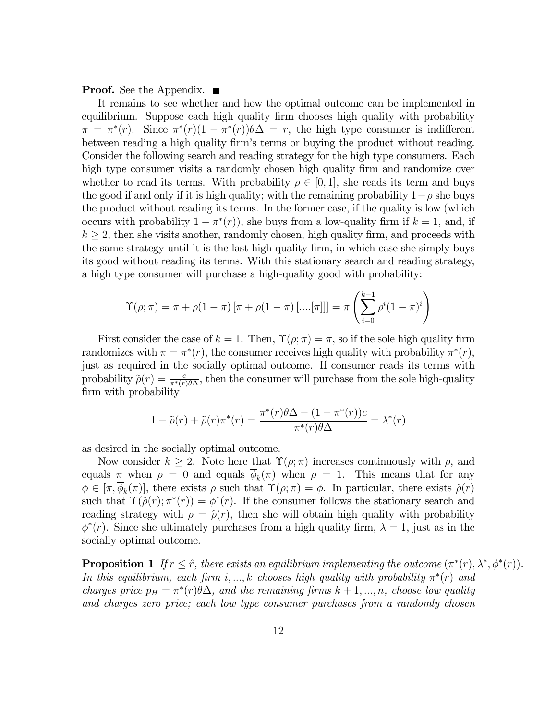**Proof.** See the Appendix.  $\blacksquare$ 

It remains to see whether and how the optimal outcome can be implemented in equilibrium. Suppose each high quality firm chooses high quality with probability  $\pi = \pi^*(r)$ . Since  $\pi^*(r)(1 - \pi^*(r))\theta\Delta = r$ , the high type consumer is indifferent between reading a high quality firm's terms or buying the product without reading. Consider the following search and reading strategy for the high type consumers. Each high type consumer visits a randomly chosen high quality firm and randomize over whether to read its terms. With probability  $\rho \in [0,1]$ , she reads its term and buys the good if and only if it is high quality; with the remaining probability  $1-\rho$  she buys the product without reading its terms. In the former case, if the quality is low (which occurs with probability  $1 - \pi^*(r)$ , she buys from a low-quality firm if  $k = 1$ , and, if  $k \geq 2$ , then she visits another, randomly chosen, high quality firm, and proceeds with the same strategy until it is the last high quality firm, in which case she simply buys its good without reading its terms. With this stationary search and reading strategy, a high type consumer will purchase a high-quality good with probability:

$$
\Upsilon(\rho;\pi) = \pi + \rho(1-\pi) [\pi + \rho(1-\pi) [\dots[\pi]]] = \pi \left( \sum_{i=0}^{k-1} \rho^{i} (1-\pi)^{i} \right)
$$

First consider the case of  $k = 1$ . Then,  $\Upsilon(\rho; \pi) = \pi$ , so if the sole high quality firm randomizes with  $\pi = \pi^*(r)$ , the consumer receives high quality with probability  $\pi^*(r)$ , just as required in the socially optimal outcome. If consumer reads its terms with probability  $\tilde{\rho}(r) = \frac{c}{\pi^*(r)\theta\Delta}$ , then the consumer will purchase from the sole high-quality firm with probability

$$
1 - \tilde{\rho}(r) + \tilde{\rho}(r)\pi^*(r) = \frac{\pi^*(r)\theta\Delta - (1 - \pi^*(r))c}{\pi^*(r)\theta\Delta} = \lambda^*(r)
$$

as desired in the socially optimal outcome.

Now consider  $k \geq 2$ . Note here that  $\Upsilon(\rho; \pi)$  increases continuously with  $\rho$ , and equals  $\pi$  when  $\rho = 0$  and equals  $\overline{\phi}_k(\pi)$  when  $\rho = 1$ . This means that for any  $\phi \in [\pi, \phi_k(\pi)]$ , there exists  $\rho$  such that  $\Upsilon(\rho; \pi) = \phi$ . In particular, there exists  $\hat{\rho}(r)$ such that  $\Upsilon(\hat{\rho}(r); \pi^*(r)) = \phi^*(r)$ . If the consumer follows the stationary search and reading strategy with  $\rho = \hat{\rho}(r)$ , then she will obtain high quality with probability  $\phi^*(r)$ . Since she ultimately purchases from a high quality firm,  $\lambda = 1$ , just as in the socially optimal outcome.

**Proposition 1** If  $r \leq \hat{r}$ , there exists an equilibrium implementing the outcome  $(\pi^*(r), \lambda^*, \phi^*(r))$ . In this equilibrium, each firm i, ..., k chooses high quality with probability  $\pi^*(r)$  and charges price  $p_H = \pi^*(r) \theta \Delta$ , and the remaining firms  $k + 1, ..., n$ , choose low quality and charges zero price; each low type consumer purchases from a randomly chosen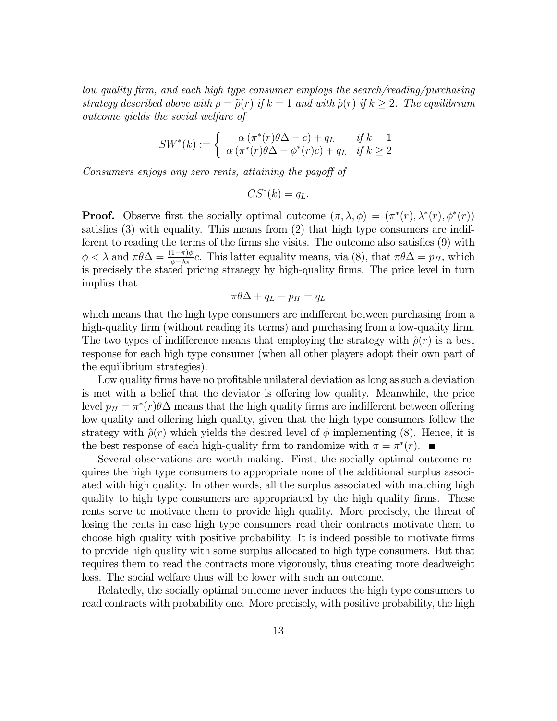low quality firm, and each high type consumer employs the search/reading/purchasing strategy described above with  $\rho = \tilde{\rho}(r)$  if  $k = 1$  and with  $\hat{\rho}(r)$  if  $k \geq 2$ . The equilibrium outcome yields the social welfare of

$$
SW^*(k) := \begin{cases} \alpha (\pi^*(r)\theta \Delta - c) + q_L & \text{if } k = 1\\ \alpha (\pi^*(r)\theta \Delta - \phi^*(r)c) + q_L & \text{if } k \ge 2 \end{cases}
$$

Consumers enjoys any zero rents, attaining the payoff of

$$
CS^*(k) = q_L.
$$

**Proof.** Observe first the socially optimal outcome  $(\pi, \lambda, \phi) = (\pi^*(r), \lambda^*(r), \phi^*(r))$ satisfies (3) with equality. This means from (2) that high type consumers are indifferent to reading the terms of the firms she visits. The outcome also satisfies (9) with  $\phi < \lambda$  and  $\pi \theta \Delta = \frac{(1-\pi)\phi}{\phi - \lambda \pi}c$ . This latter equality means, via (8), that  $\pi \theta \Delta = p_H$ , which is precisely the stated pricing strategy by high-quality firms. The price level in turn implies that

$$
\pi \theta \Delta + q_L - p_H = q_L
$$

which means that the high type consumers are indifferent between purchasing from a high-quality firm (without reading its terms) and purchasing from a low-quality firm. The two types of indifference means that employing the strategy with  $\hat{\rho}(r)$  is a best response for each high type consumer (when all other players adopt their own part of the equilibrium strategies).

Low quality firms have no profitable unilateral deviation as long as such a deviation is met with a belief that the deviator is offering low quality. Meanwhile, the price level  $p_H = \pi^*(r)\theta\Delta$  means that the high quality firms are indifferent between offering low quality and offering high quality, given that the high type consumers follow the strategy with  $\hat{\rho}(r)$  which yields the desired level of  $\phi$  implementing (8). Hence, it is the best response of each high-quality firm to randomize with  $\pi = \pi^*(r)$ .

Several observations are worth making. First, the socially optimal outcome requires the high type consumers to appropriate none of the additional surplus associated with high quality. In other words, all the surplus associated with matching high quality to high type consumers are appropriated by the high quality firms. These rents serve to motivate them to provide high quality. More precisely, the threat of losing the rents in case high type consumers read their contracts motivate them to choose high quality with positive probability. It is indeed possible to motivate firms to provide high quality with some surplus allocated to high type consumers. But that requires them to read the contracts more vigorously, thus creating more deadweight loss. The social welfare thus will be lower with such an outcome.

Relatedly, the socially optimal outcome never induces the high type consumers to read contracts with probability one. More precisely, with positive probability, the high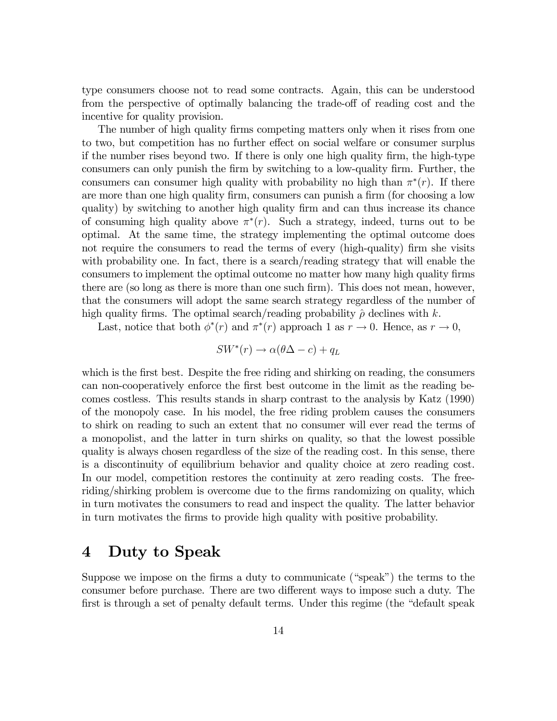type consumers choose not to read some contracts. Again, this can be understood from the perspective of optimally balancing the trade-off of reading cost and the incentive for quality provision.

The number of high quality firms competing matters only when it rises from one to two, but competition has no further effect on social welfare or consumer surplus if the number rises beyond two. If there is only one high quality firm, the high-type consumers can only punish the firm by switching to a low-quality firm. Further, the consumers can consumer high quality with probability no high than  $\pi^*(r)$ . If there are more than one high quality firm, consumers can punish a firm (for choosing a low quality) by switching to another high quality firm and can thus increase its chance of consuming high quality above  $\pi^*(r)$ . Such a strategy, indeed, turns out to be optimal. At the same time, the strategy implementing the optimal outcome does not require the consumers to read the terms of every (high-quality) firm she visits with probability one. In fact, there is a search/reading strategy that will enable the consumers to implement the optimal outcome no matter how many high quality firms there are (so long as there is more than one such firm). This does not mean, however, that the consumers will adopt the same search strategy regardless of the number of high quality firms. The optimal search/reading probability  $\hat{\rho}$  declines with k.

Last, notice that both  $\phi^*(r)$  and  $\pi^*(r)$  approach 1 as  $r \to 0$ . Hence, as  $r \to 0$ ,

 $SW^*(r) \rightarrow \alpha(\theta \Delta - c) + q_L$ 

which is the first best. Despite the free riding and shirking on reading, the consumers can non-cooperatively enforce the first best outcome in the limit as the reading becomes costless. This results stands in sharp contrast to the analysis by Katz (1990) of the monopoly case. In his model, the free riding problem causes the consumers to shirk on reading to such an extent that no consumer will ever read the terms of a monopolist, and the latter in turn shirks on quality, so that the lowest possible quality is always chosen regardless of the size of the reading cost. In this sense, there is a discontinuity of equilibrium behavior and quality choice at zero reading cost. In our model, competition restores the continuity at zero reading costs. The freeriding/shirking problem is overcome due to the firms randomizing on quality, which in turn motivates the consumers to read and inspect the quality. The latter behavior in turn motivates the firms to provide high quality with positive probability.

#### 4 Duty to Speak

Suppose we impose on the firms a duty to communicate ("speak") the terms to the consumer before purchase. There are two different ways to impose such a duty. The first is through a set of penalty default terms. Under this regime (the "default speak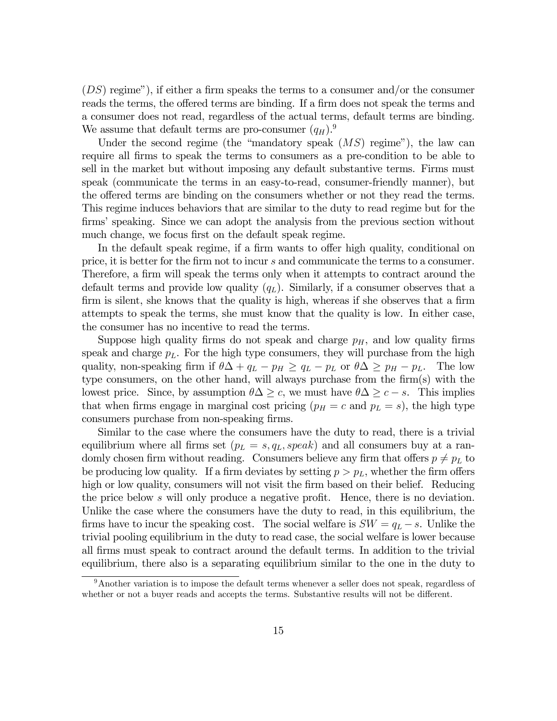$(DS)$  regime"), if either a firm speaks the terms to a consumer and/or the consumer reads the terms, the offered terms are binding. If a firm does not speak the terms and a consumer does not read, regardless of the actual terms, default terms are binding. We assume that default terms are pro-consumer  $(q_H)$ .<sup>9</sup>

Under the second regime (the "mandatory speak  $(MS)$  regime"), the law can require all firms to speak the terms to consumers as a pre-condition to be able to sell in the market but without imposing any default substantive terms. Firms must speak (communicate the terms in an easy-to-read, consumer-friendly manner), but the offered terms are binding on the consumers whether or not they read the terms. This regime induces behaviors that are similar to the duty to read regime but for the firms' speaking. Since we can adopt the analysis from the previous section without much change, we focus first on the default speak regime.

In the default speak regime, if a firm wants to offer high quality, conditional on price, it is better for the firm not to incur s and communicate the terms to a consumer. Therefore, a firm will speak the terms only when it attempts to contract around the default terms and provide low quality  $(q_L)$ . Similarly, if a consumer observes that a firm is silent, she knows that the quality is high, whereas if she observes that a firm attempts to speak the terms, she must know that the quality is low. In either case, the consumer has no incentive to read the terms.

Suppose high quality firms do not speak and charge  $p<sub>H</sub>$ , and low quality firms speak and charge  $p<sub>L</sub>$ . For the high type consumers, they will purchase from the high quality, non-speaking firm if  $\theta \Delta + q_L - p_H \ge q_L - p_L$  or  $\theta \Delta \ge p_H - p_L$ . The low type consumers, on the other hand, will always purchase from the firm(s) with the lowest price. Since, by assumption  $\theta \Delta \geq c$ , we must have  $\theta \Delta \geq c - s$ . This implies that when firms engage in marginal cost pricing  $(p_H = c \text{ and } p_L = s)$ , the high type consumers purchase from non-speaking firms.

Similar to the case where the consumers have the duty to read, there is a trivial equilibrium where all firms set  $(p_L = s, q_L, speak)$  and all consumers buy at a randomly chosen firm without reading. Consumers believe any firm that offers  $p \neq p_L$  to be producing low quality. If a firm deviates by setting  $p>p<sub>L</sub>$ , whether the firm offers high or low quality, consumers will not visit the firm based on their belief. Reducing the price below s will only produce a negative profit. Hence, there is no deviation. Unlike the case where the consumers have the duty to read, in this equilibrium, the firms have to incur the speaking cost. The social welfare is  $SW = q_L - s$ . Unlike the trivial pooling equilibrium in the duty to read case, the social welfare is lower because all firms must speak to contract around the default terms. In addition to the trivial equilibrium, there also is a separating equilibrium similar to the one in the duty to

<sup>9</sup>Another variation is to impose the default terms whenever a seller does not speak, regardless of whether or not a buyer reads and accepts the terms. Substantive results will not be different.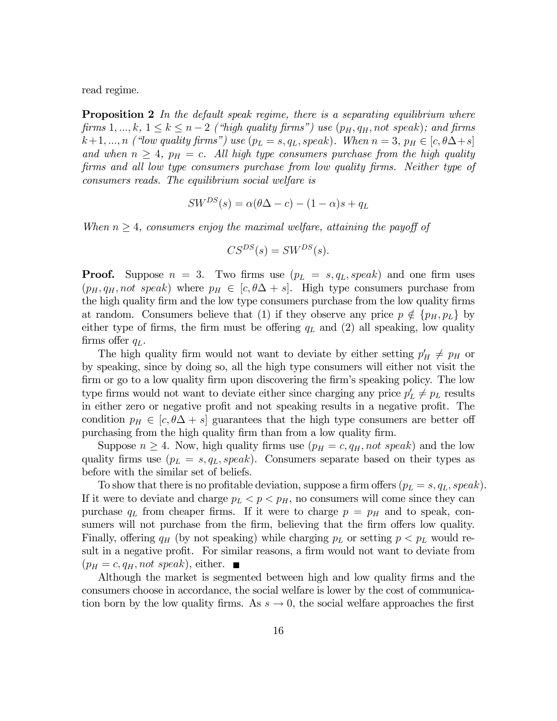read regime.

**Proposition 2** In the default speak regime, there is a separating equilibrium where firms  $1, ..., k, 1 \leq k \leq n-2$  ("high quality firms") use  $(p_H, q_H, not\; speak)$ ; and firms  $k+1, ..., n$  ("low quality firms") use  $(p_L = s, q_L, speak)$ . When  $n = 3, p_H \in [c, \theta \Delta + s]$ and when  $n \geq 4$ ,  $p_H = c$ . All high type consumers purchase from the high quality firms and all low type consumers purchase from low quality firms. Neither type of consumers reads. The equilibrium social welfare is

$$
SW^{DS}(s) = \alpha(\theta \Delta - c) - (1 - \alpha)s + q_L
$$

When  $n \geq 4$ , consumers enjoy the maximal welfare, attaining the payoff of

$$
CS^{DS}(s) = SW^{DS}(s).
$$

**Proof.** Suppose  $n = 3$ . Two firms use  $(p_L = s, q_L, speak)$  and one firm uses  $(p_H, q_H, not\; speak)$  where  $p_H \in [c, \theta\Delta + s]$ . High type consumers purchase from the high quality firm and the low type consumers purchase from the low quality firms at random. Consumers believe that (1) if they observe any price  $p \notin \{p_H, p_L\}$  by either type of firms, the firm must be offering  $q_L$  and (2) all speaking, low quality firms offer  $q_L$ .

The high quality firm would not want to deviate by either setting  $p'_H \neq p_H$  or by speaking, since by doing so, all the high type consumers will either not visit the firm or go to a low quality firm upon discovering the firm's speaking policy. The low type firms would not want to deviate either since charging any price  $p'_L \neq p_L$  results in either zero or negative profit and not speaking results in a negative profit. The condition  $p_H \in [c, \theta\Delta + s]$  guarantees that the high type consumers are better off purchasing from the high quality firm than from a low quality firm.

Suppose  $n \geq 4$ . Now, high quality firms use  $(p_H = c, q_H, not\; speak)$  and the low quality firms use  $(p_L = s, q_L, speak)$ . Consumers separate based on their types as before with the similar set of beliefs.

To show that there is no profitable deviation, suppose a firm offers  $(p_L = s, q_L, speak)$ . If it were to deviate and charge  $p_L < p < p_H$ , no consumers will come since they can purchase  $q_L$  from cheaper firms. If it were to charge  $p = p_H$  and to speak, consumers will not purchase from the firm, believing that the firm offers low quality. Finally, offering  $q_H$  (by not speaking) while charging  $p_L$  or setting  $p < p_L$  would result in a negative profit. For similar reasons, a firm would not want to deviate from  $(p_H = c, q_H, not\; speak),$  either.  $\blacksquare$ 

Although the market is segmented between high and low quality firms and the consumers choose in accordance, the social welfare is lower by the cost of communication born by the low quality firms. As  $s \to 0$ , the social welfare approaches the first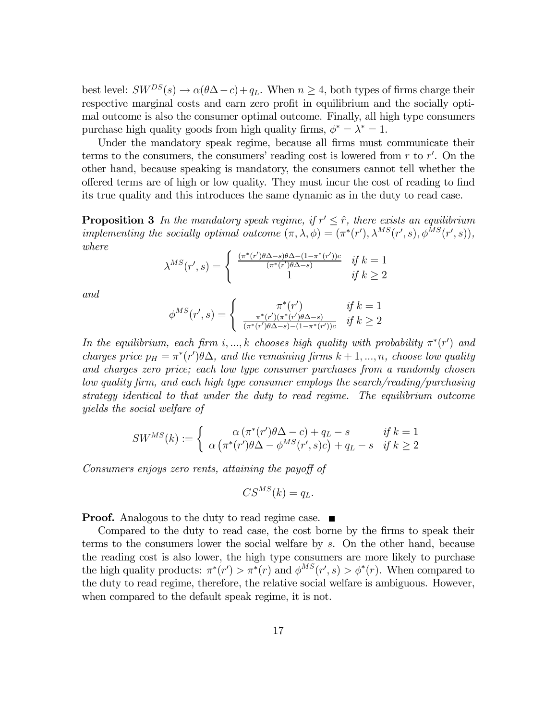best level:  $SW^{DS}(s) \rightarrow \alpha(\theta \Delta - c) + q_L$ . When  $n \geq 4$ , both types of firms charge their respective marginal costs and earn zero profit in equilibrium and the socially optimal outcome is also the consumer optimal outcome. Finally, all high type consumers purchase high quality goods from high quality firms,  $\phi^* = \lambda^* = 1$ .

Under the mandatory speak regime, because all firms must communicate their terms to the consumers, the consumers' reading cost is lowered from  $r$  to  $r'$ . On the other hand, because speaking is mandatory, the consumers cannot tell whether the offered terms are of high or low quality. They must incur the cost of reading to find its true quality and this introduces the same dynamic as in the duty to read case.

**Proposition 3** In the mandatory speak regime, if  $r' \leq \hat{r}$ , there exists an equilibrium implementing the socially optimal outcome  $(\pi, \lambda, \phi) = (\pi^*(r'), \lambda^{MS}(r', s), \phi^{MS}(r', s)),$ where

$$
\lambda^{MS}(r', s) = \begin{cases} \frac{(\pi^*(r')\theta \Delta - s)\theta \Delta - (1 - \pi^*(r'))c}{(\pi^*(r')\theta \Delta - s)} & \text{if } k = 1\\ 1 & \text{if } k \ge 2 \end{cases}
$$

and

$$
\phi^{MS}(r', s) = \begin{cases}\n\pi^*(r') & \text{if } k = 1 \\
\frac{\pi^*(r')(\pi^*(r')\theta\Delta - s)}{(\pi^*(r')\theta\Delta - s) - (1 - \pi^*(r'))c} & \text{if } k \ge 2\n\end{cases}
$$

In the equilibrium, each firm i, ..., k chooses high quality with probability  $\pi^*(r')$  and charges price  $p_H = \pi^*(r')\theta\Delta$ , and the remaining firms  $k+1, ..., n$ , choose low quality and charges zero price; each low type consumer purchases from a randomly chosen low quality firm, and each high type consumer employs the search/reading/purchasing strategy identical to that under the duty to read regime. The equilibrium outcome yields the social welfare of

$$
SW^{MS}(k) := \begin{cases} \alpha (\pi^*(r')\theta \Delta - c) + q_L - s & \text{if } k = 1\\ \alpha (\pi^*(r')\theta \Delta - \phi^{MS}(r', s)c) + q_L - s & \text{if } k \ge 2 \end{cases}
$$

Consumers enjoys zero rents, attaining the payoff of

$$
CS^{MS}(k) = q_L.
$$

**Proof.** Analogous to the duty to read regime case.  $\blacksquare$ 

Compared to the duty to read case, the cost borne by the firms to speak their terms to the consumers lower the social welfare by s. On the other hand, because the reading cost is also lower, the high type consumers are more likely to purchase the high quality products:  $\pi^*(r') > \pi^*(r)$  and  $\phi^{MS}(r', s) > \phi^*(r)$ . When compared to the duty to read regime, therefore, the relative social welfare is ambiguous. However, when compared to the default speak regime, it is not.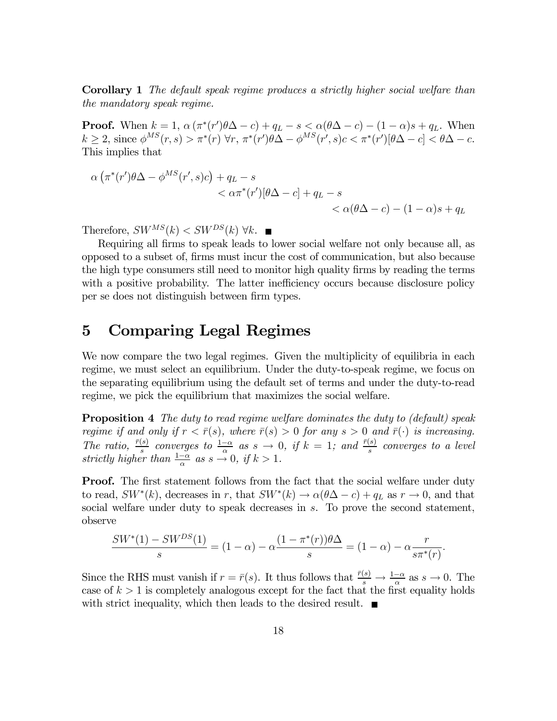Corollary 1 The default speak regime produces a strictly higher social welfare than the mandatory speak regime.

**Proof.** When  $k = 1$ ,  $\alpha (\pi^*(r')\theta \Delta - c) + q_L - s < \alpha(\theta \Delta - c) - (1 - \alpha)s + q_L$ . When  $k \geq 2$ , since  $\phi^{MS}(r,s) > \pi^*(r) \,\forall r, \, \pi^*(r')\theta\Delta - \phi^{MS}(r',s)c < \pi^*(r')[\theta\Delta - c] < \theta\Delta - c$ . This implies that

$$
\alpha \left( \pi^*(r')\theta \Delta - \phi^{MS}(r', s)c \right) + q_L - s
$$
  

$$
< \alpha \pi^*(r')[\theta \Delta - c] + q_L - s
$$
  

$$
< \alpha(\theta \Delta - c) - (1 - \alpha)s + q_L
$$

Therefore,  $SW^{MS}(k) < SW^{DS}(k) \ \forall k$ .

Requiring all firms to speak leads to lower social welfare not only because all, as opposed to a subset of, firms must incur the cost of communication, but also because the high type consumers still need to monitor high quality firms by reading the terms with a positive probability. The latter inefficiency occurs because disclosure policy per se does not distinguish between firm types.

### 5 Comparing Legal Regimes

We now compare the two legal regimes. Given the multiplicity of equilibria in each regime, we must select an equilibrium. Under the duty-to-speak regime, we focus on the separating equilibrium using the default set of terms and under the duty-to-read regime, we pick the equilibrium that maximizes the social welfare.

**Proposition 4** The duty to read regime welfare dominates the duty to (default) speak regime if and only if  $r < \bar{r}(s)$ , where  $\bar{r}(s) > 0$  for any  $s > 0$  and  $\bar{r}(\cdot)$  is increasing. The ratio,  $\frac{\bar{r}(s)}{s}$  converges to  $\frac{1-\alpha}{\alpha}$  as  $s \to 0$ , if  $k = 1$ ; and  $\frac{\bar{r}(s)}{s}$  converges to a level strictly higher than  $\frac{1-\alpha}{\alpha}$  as  $s \to 0$ , if  $k > 1$ .

**Proof.** The first statement follows from the fact that the social welfare under duty to read,  $SW^*(k)$ , decreases in r, that  $SW^*(k) \to \alpha(\theta \Delta - c) + q_L$  as  $r \to 0$ , and that social welfare under duty to speak decreases in  $s$ . To prove the second statement, observe

$$
\frac{SW^*(1) - SW^{DS}(1)}{s} = (1 - \alpha) - \alpha \frac{(1 - \pi^*(r))\theta \Delta}{s} = (1 - \alpha) - \alpha \frac{r}{s\pi^*(r)}.
$$

Since the RHS must vanish if  $r = \bar{r}(s)$ . It thus follows that  $\frac{\bar{r}(s)}{s} \to \frac{1-\alpha}{s}$  as  $s \to 0$ . The case of  $k > 1$  is completely analogous except for the fact that the first equality holds with strict inequality, which then leads to the desired result.  $\blacksquare$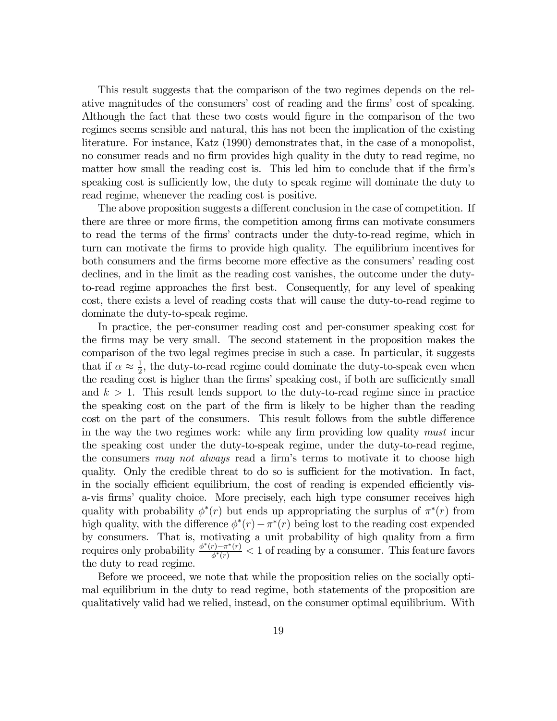This result suggests that the comparison of the two regimes depends on the relative magnitudes of the consumers' cost of reading and the firms' cost of speaking. Although the fact that these two costs would figure in the comparison of the two regimes seems sensible and natural, this has not been the implication of the existing literature. For instance, Katz (1990) demonstrates that, in the case of a monopolist, no consumer reads and no firm provides high quality in the duty to read regime, no matter how small the reading cost is. This led him to conclude that if the firm's speaking cost is sufficiently low, the duty to speak regime will dominate the duty to read regime, whenever the reading cost is positive.

The above proposition suggests a different conclusion in the case of competition. If there are three or more firms, the competition among firms can motivate consumers to read the terms of the firms' contracts under the duty-to-read regime, which in turn can motivate the firms to provide high quality. The equilibrium incentives for both consumers and the firms become more effective as the consumers' reading cost declines, and in the limit as the reading cost vanishes, the outcome under the dutyto-read regime approaches the first best. Consequently, for any level of speaking cost, there exists a level of reading costs that will cause the duty-to-read regime to dominate the duty-to-speak regime.

In practice, the per-consumer reading cost and per-consumer speaking cost for the firms may be very small. The second statement in the proposition makes the comparison of the two legal regimes precise in such a case. In particular, it suggests that if  $\alpha \approx \frac{1}{2}$ , the duty-to-read regime could dominate the duty-to-speak even when the reading cost is higher than the firms' speaking cost, if both are sufficiently small and  $k > 1$ . This result lends support to the duty-to-read regime since in practice the speaking cost on the part of the firm is likely to be higher than the reading cost on the part of the consumers. This result follows from the subtle difference in the way the two regimes work: while any firm providing low quality must incur the speaking cost under the duty-to-speak regime, under the duty-to-read regime, the consumers may not always read a firm's terms to motivate it to choose high quality. Only the credible threat to do so is sufficient for the motivation. In fact, in the socially efficient equilibrium, the cost of reading is expended efficiently visa-vis firms' quality choice. More precisely, each high type consumer receives high quality with probability  $\phi^*(r)$  but ends up appropriating the surplus of  $\pi^*(r)$  from high quality, with the difference  $\phi^*(r) - \pi^*(r)$  being lost to the reading cost expended by consumers. That is, motivating a unit probability of high quality from a firm requires only probability  $\frac{\phi^*(r)-\pi^*(r)}{\phi^*(r)} < 1$  of reading by a consumer. This feature favors the duty to read regime.

Before we proceed, we note that while the proposition relies on the socially optimal equilibrium in the duty to read regime, both statements of the proposition are qualitatively valid had we relied, instead, on the consumer optimal equilibrium. With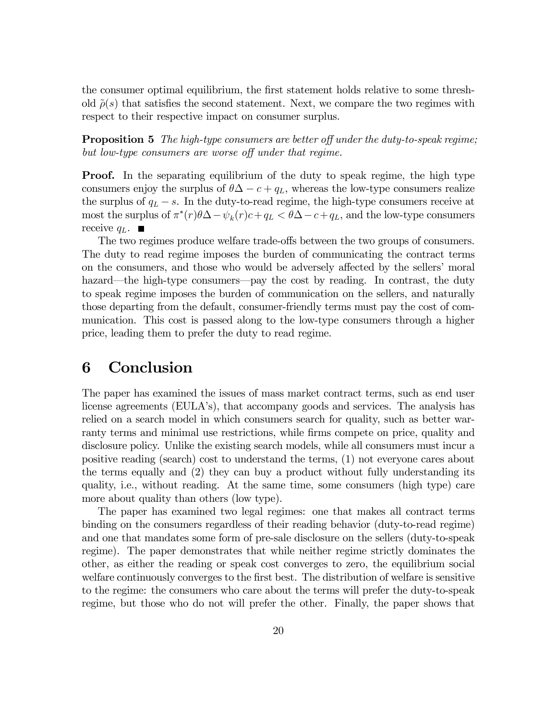the consumer optimal equilibrium, the first statement holds relative to some threshold  $\tilde{\rho}(s)$  that satisfies the second statement. Next, we compare the two regimes with respect to their respective impact on consumer surplus.

**Proposition 5** The high-type consumers are better off under the duty-to-speak regime; but low-type consumers are worse off under that regime.

**Proof.** In the separating equilibrium of the duty to speak regime, the high type consumers enjoy the surplus of  $\theta \Delta - c + q_L$ , whereas the low-type consumers realize the surplus of  $q_L - s$ . In the duty-to-read regime, the high-type consumers receive at most the surplus of  $\pi^*(r)\theta\Delta-\psi_k(r)c+q_L < \theta\Delta-c+q_L$ , and the low-type consumers receive  $q_L$ .  $\blacksquare$ 

The two regimes produce welfare trade-offs between the two groups of consumers. The duty to read regime imposes the burden of communicating the contract terms on the consumers, and those who would be adversely affected by the sellers' moral hazard—the high-type consumers—pay the cost by reading. In contrast, the duty to speak regime imposes the burden of communication on the sellers, and naturally those departing from the default, consumer-friendly terms must pay the cost of communication. This cost is passed along to the low-type consumers through a higher price, leading them to prefer the duty to read regime.

#### 6 Conclusion

The paper has examined the issues of mass market contract terms, such as end user license agreements (EULA's), that accompany goods and services. The analysis has relied on a search model in which consumers search for quality, such as better warranty terms and minimal use restrictions, while firms compete on price, quality and disclosure policy. Unlike the existing search models, while all consumers must incur a positive reading (search) cost to understand the terms, (1) not everyone cares about the terms equally and (2) they can buy a product without fully understanding its quality, i.e., without reading. At the same time, some consumers (high type) care more about quality than others (low type).

The paper has examined two legal regimes: one that makes all contract terms binding on the consumers regardless of their reading behavior (duty-to-read regime) and one that mandates some form of pre-sale disclosure on the sellers (duty-to-speak regime). The paper demonstrates that while neither regime strictly dominates the other, as either the reading or speak cost converges to zero, the equilibrium social welfare continuously converges to the first best. The distribution of welfare is sensitive to the regime: the consumers who care about the terms will prefer the duty-to-speak regime, but those who do not will prefer the other. Finally, the paper shows that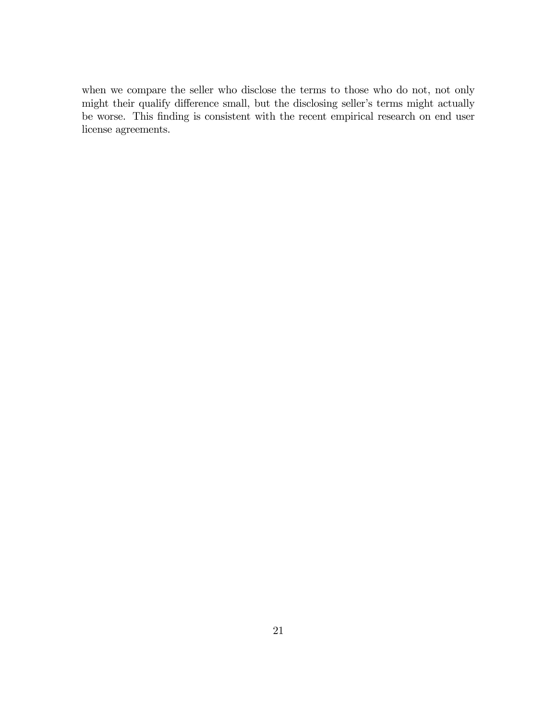when we compare the seller who disclose the terms to those who do not, not only might their qualify difference small, but the disclosing seller's terms might actually be worse. This finding is consistent with the recent empirical research on end user license agreements.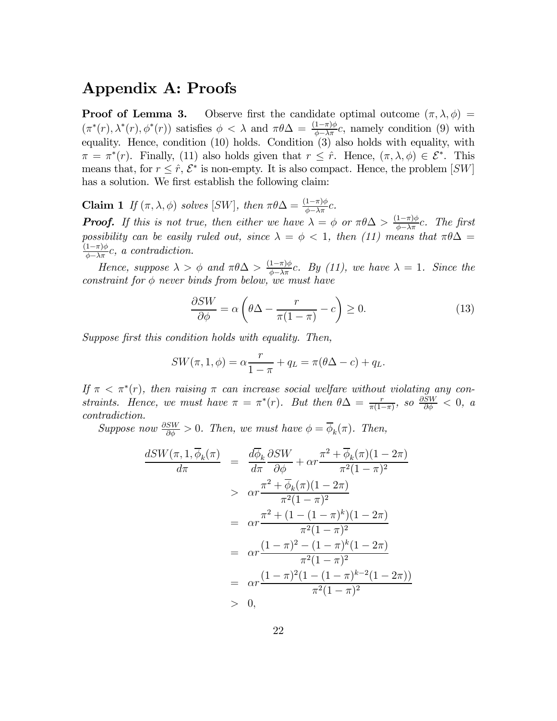## Appendix A: Proofs

**Proof of Lemma 3.** Observe first the candidate optimal outcome  $(\pi, \lambda, \phi)$  =  $(\pi^*(r), \lambda^*(r), \phi^*(r))$  satisfies  $\phi < \lambda$  and  $\pi \theta \Delta = \frac{(1-\pi)\phi}{\phi - \lambda \pi}c$ , namely condition (9) with equality. Hence, condition (10) holds. Condition (3) also holds with equality, with  $\pi = \pi^*(r)$ . Finally, (11) also holds given that  $r \leq \hat{r}$ . Hence,  $(\pi, \lambda, \phi) \in \mathcal{E}^*$ . This means that, for  $r \leq \hat{r}$ ,  $\mathcal{E}^*$  is non-empty. It is also compact. Hence, the problem [SW] has a solution. We first establish the following claim:

**Claim 1** If  $(\pi, \lambda, \phi)$  solves [SW], then  $\pi \theta \Delta = \frac{(1-\pi)\phi}{\phi - \lambda \pi}c$ .

**Proof.** If this is not true, then either we have  $\lambda = \phi$  or  $\pi \theta \Delta > \frac{(1-\pi)\phi}{\phi - \lambda \pi}c$ . The first possibility can be easily ruled out, since  $\lambda = \phi < 1$ , then (11) means that  $\pi \theta \Delta =$  $\frac{(1-\pi)\phi}{\phi-\lambda\pi}c$ , a contradiction.

Hence, suppose  $\lambda > \phi$  and  $\pi \theta \Delta > \frac{(1-\pi)\phi}{\phi - \lambda \pi}c$ . By (11), we have  $\lambda = 1$ . Since the constraint for  $\phi$  never binds from below, we must have

$$
\frac{\partial SW}{\partial \phi} = \alpha \left( \theta \Delta - \frac{r}{\pi (1 - \pi)} - c \right) \ge 0. \tag{13}
$$

Suppose first this condition holds with equality. Then,

$$
SW(\pi, 1, \phi) = \alpha \frac{r}{1 - \pi} + q_L = \pi(\theta \Delta - c) + q_L.
$$

If  $\pi < \pi^*(r)$ , then raising  $\pi$  can increase social welfare without violating any constraints. Hence, we must have  $\pi = \pi^*(r)$ . But then  $\theta \Delta = \frac{r}{\pi(1-\pi)}$ , so  $\frac{\partial SW}{\partial \phi} < 0$ , a contradiction.

Suppose now  $\frac{\partial SW}{\partial \phi} > 0$ . Then, we must have  $\phi = \overline{\phi}_k(\pi)$ . Then,

$$
\frac{dSW(\pi, 1, \overline{\phi}_k(\pi))}{d\pi} = \frac{d\overline{\phi}_k}{d\pi} \frac{\partial SW}{\partial \phi} + \alpha r \frac{\pi^2 + \overline{\phi}_k(\pi)(1 - 2\pi)}{\pi^2 (1 - \pi)^2} \n> \alpha r \frac{\pi^2 + \overline{\phi}_k(\pi)(1 - 2\pi)}{\pi^2 (1 - \pi)^2} \n= \alpha r \frac{\pi^2 + (1 - (1 - \pi)^k)(1 - 2\pi)}{\pi^2 (1 - \pi)^2} \n= \alpha r \frac{(1 - \pi)^2 - (1 - \pi)^k (1 - 2\pi)}{\pi^2 (1 - \pi)^2} \n= \alpha r \frac{(1 - \pi)^2 (1 - (1 - \pi)^{k-2} (1 - 2\pi))}{\pi^2 (1 - \pi)^2} \n> 0,
$$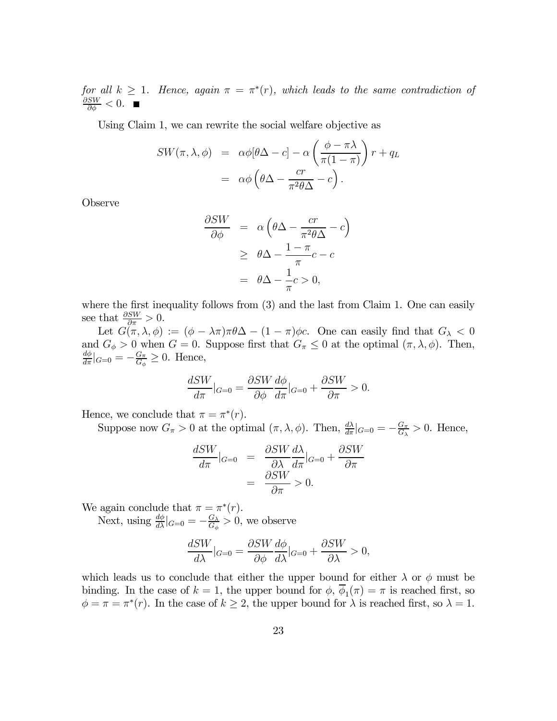for all  $k \geq 1$ . Hence, again  $\pi = \pi^*(r)$ , which leads to the same contradiction of  $\frac{\partial SW}{\partial \phi} < 0.$ 

Using Claim 1, we can rewrite the social welfare objective as

$$
SW(\pi, \lambda, \phi) = \alpha \phi [\theta \Delta - c] - \alpha \left( \frac{\phi - \pi \lambda}{\pi (1 - \pi)} \right) r + q_L
$$

$$
= \alpha \phi \left( \theta \Delta - \frac{cr}{\pi^2 \theta \Delta} - c \right).
$$

Observe

$$
\frac{\partial SW}{\partial \phi} = \alpha \left( \theta \Delta - \frac{cr}{\pi^2 \theta \Delta} - c \right)
$$

$$
\geq \theta \Delta - \frac{1 - \pi}{\pi} c - c
$$

$$
= \theta \Delta - \frac{1}{\pi} c > 0,
$$

where the first inequality follows from  $(3)$  and the last from Claim 1. One can easily see that  $\frac{\partial SW}{\partial \pi} > 0$ .

Let  $G(\pi, \lambda, \phi) := (\phi - \lambda \pi) \pi \theta \Delta - (1 - \pi) \phi c$ . One can easily find that  $G_{\lambda} < 0$ and  $G_{\phi} > 0$  when  $G = 0$ . Suppose first that  $G_{\pi} \leq 0$  at the optimal  $(\pi, \lambda, \phi)$ . Then,  $\frac{d\phi}{d\pi}|_{G=0} = -\frac{G_\pi}{G_\phi} \geq 0$ . Hence,

$$
\frac{dSW}{d\pi}|_{G=0} = \frac{\partial SW}{\partial \phi} \frac{d\phi}{d\pi}|_{G=0} + \frac{\partial SW}{\partial \pi} > 0.
$$

Hence, we conclude that  $\pi = \pi^*(r)$ .

Suppose now  $G_{\pi} > 0$  at the optimal  $(\pi, \lambda, \phi)$ . Then,  $\frac{d\lambda}{d\pi}|_{G=0} = -\frac{G_{\pi}}{G_{\lambda}} > 0$ . Hence,

$$
\frac{dSW}{d\pi}|_{G=0} = \frac{\partial SW}{\partial \lambda} \frac{d\lambda}{d\pi}|_{G=0} + \frac{\partial SW}{\partial \pi}
$$

$$
= \frac{\partial SW}{\partial \pi} > 0.
$$

We again conclude that  $\pi = \pi^*(r)$ .

Next, using  $\frac{d\phi}{d\lambda}|_{G=0} = -\frac{G_{\lambda}}{G_{\phi}} > 0$ , we observe

$$
\frac{dSW}{d\lambda}|_{G=0} = \frac{\partial SW}{\partial \phi} \frac{d\phi}{d\lambda}|_{G=0} + \frac{\partial SW}{\partial \lambda} > 0,
$$

which leads us to conclude that either the upper bound for either  $\lambda$  or  $\phi$  must be binding. In the case of  $k = 1$ , the upper bound for  $\phi$ ,  $\overline{\phi}_1(\pi) = \pi$  is reached first, so  $\phi = \pi = \pi^*(r)$ . In the case of  $k \geq 2$ , the upper bound for  $\lambda$  is reached first, so  $\lambda = 1$ .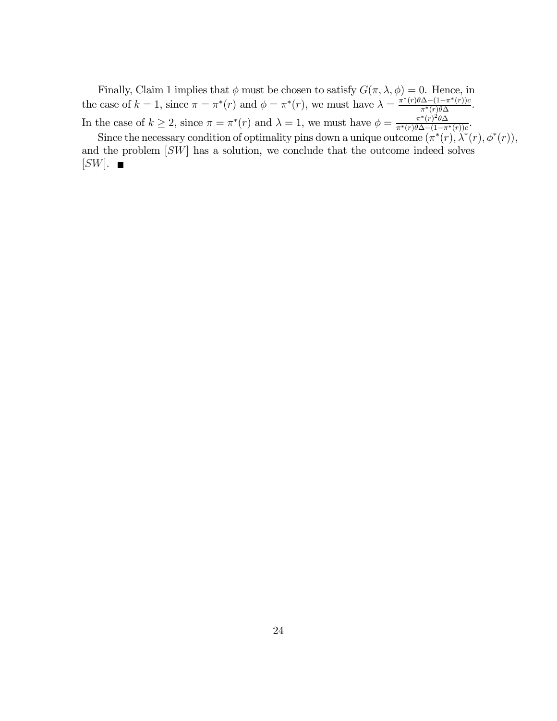Finally, Claim 1 implies that  $\phi$  must be chosen to satisfy  $G(\pi, \lambda, \phi) = 0$ . Hence, in the case of  $k = 1$ , since  $\pi = \pi^*(r)$  and  $\phi = \pi^*(r)$ , we must have  $\lambda = \frac{\pi^*(r)\theta \Delta - (1 - \pi^*(r))c}{\pi^*(r)\theta \Delta}$ . In the case of  $k \geq 2$ , since  $\pi = \pi^*(r)$  and  $\lambda = 1$ , we must have  $\phi = \frac{\pi^*(r)^2 \theta \Delta}{\pi^*(r) \theta \Delta - (1 - \pi^*(r))c}$ .

Since the necessary condition of optimality pins down a unique outcome  $(\pi^*(r), \lambda^*(r), \phi^*(r)),$ and the problem [SW] has a solution, we conclude that the outcome indeed solves  $[SW]$ .  $\blacksquare$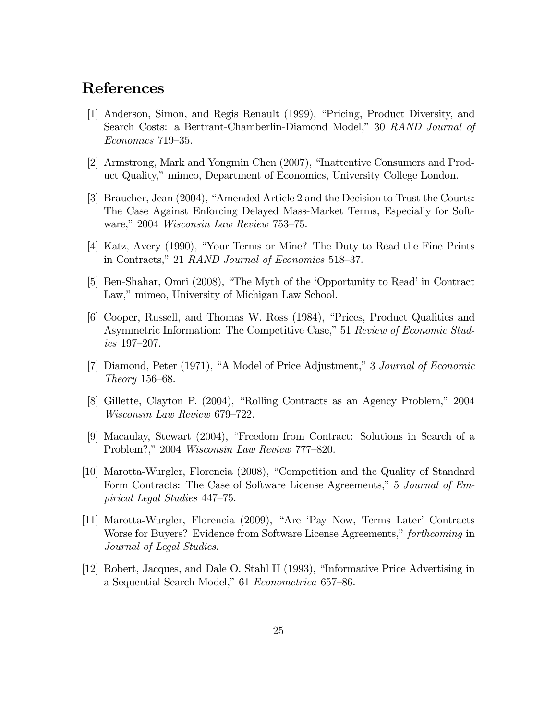# References

- [1] Anderson, Simon, and Regis Renault (1999), "Pricing, Product Diversity, and Search Costs: a Bertrant-Chamberlin-Diamond Model," 30 RAND Journal of Economics 719—35.
- [2] Armstrong, Mark and Yongmin Chen (2007), "Inattentive Consumers and Product Quality," mimeo, Department of Economics, University College London.
- [3] Braucher, Jean (2004), "Amended Article 2 and the Decision to Trust the Courts: The Case Against Enforcing Delayed Mass-Market Terms, Especially for Software," 2004 Wisconsin Law Review 753—75.
- [4] Katz, Avery (1990), "Your Terms or Mine? The Duty to Read the Fine Prints in Contracts," 21 RAND Journal of Economics 518—37.
- [5] Ben-Shahar, Omri (2008), "The Myth of the 'Opportunity to Read' in Contract Law," mimeo, University of Michigan Law School.
- [6] Cooper, Russell, and Thomas W. Ross (1984), "Prices, Product Qualities and Asymmetric Information: The Competitive Case," 51 Review of Economic Studies 197—207.
- [7] Diamond, Peter (1971), "A Model of Price Adjustment," 3 Journal of Economic Theory 156—68.
- [8] Gillette, Clayton P. (2004), "Rolling Contracts as an Agency Problem," 2004 Wisconsin Law Review 679—722.
- [9] Macaulay, Stewart (2004), "Freedom from Contract: Solutions in Search of a Problem?," 2004 Wisconsin Law Review 777—820.
- [10] Marotta-Wurgler, Florencia (2008), "Competition and the Quality of Standard Form Contracts: The Case of Software License Agreements," 5 Journal of Empirical Legal Studies 447—75.
- [11] Marotta-Wurgler, Florencia (2009), "Are 'Pay Now, Terms Later' Contracts Worse for Buyers? Evidence from Software License Agreements," forthcoming in Journal of Legal Studies.
- [12] Robert, Jacques, and Dale O. Stahl II (1993), "Informative Price Advertising in a Sequential Search Model," 61 Econometrica 657—86.